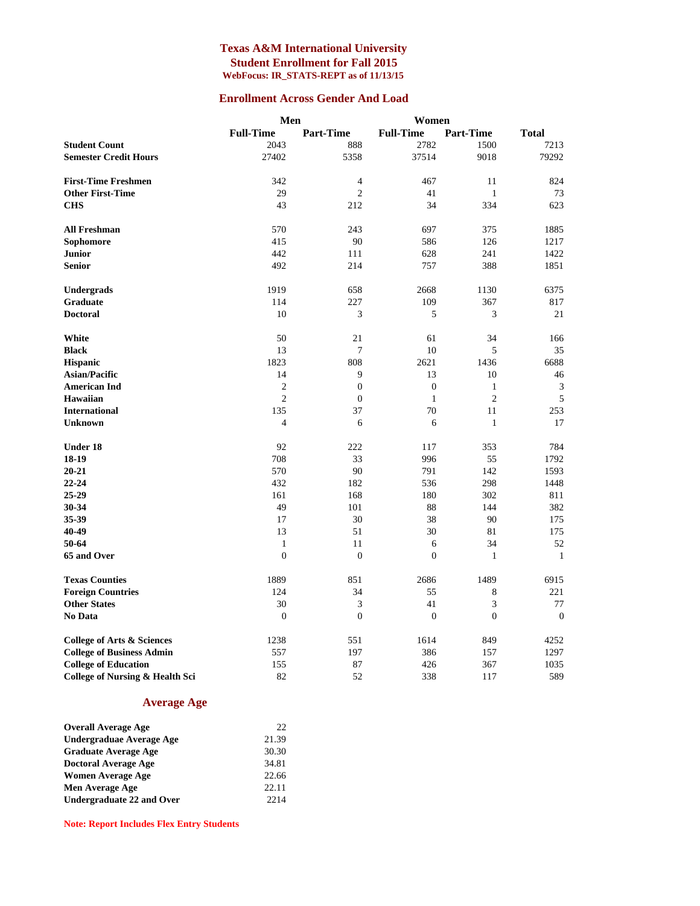#### **Texas A&M International University Student Enrollment for Fall 2015 WebFocus: IR\_STATS-REPT as of 11/13/15**

#### **Enrollment Across Gender And Load**

|                                       | Men              |                  | Women            |                  |                  |
|---------------------------------------|------------------|------------------|------------------|------------------|------------------|
|                                       | <b>Full-Time</b> | <b>Part-Time</b> | <b>Full-Time</b> | <b>Part-Time</b> | <b>Total</b>     |
| <b>Student Count</b>                  | 2043             | 888              | 2782             | 1500             | 7213             |
| <b>Semester Credit Hours</b>          | 27402            | 5358             | 37514            | 9018             | 79292            |
|                                       |                  |                  |                  |                  |                  |
| <b>First-Time Freshmen</b>            | 342              | $\overline{4}$   | 467              | 11               | 824              |
| <b>Other First-Time</b>               | 29               | $\overline{2}$   | 41               | $\mathbf{1}$     | 73               |
| <b>CHS</b>                            | 43               | 212              | 34               | 334              | 623              |
| <b>All Freshman</b>                   | 570              | 243              | 697              | 375              | 1885             |
| Sophomore                             | 415              | 90               | 586              | 126              | 1217             |
| <b>Junior</b>                         | 442              | 111              | 628              | 241              | 1422             |
| <b>Senior</b>                         | 492              | 214              | 757              | 388              | 1851             |
| Undergrads                            | 1919             | 658              | 2668             | 1130             | 6375             |
| Graduate                              | 114              | 227              | 109              | 367              | 817              |
| <b>Doctoral</b>                       | 10               | 3                | 5                | 3                | 21               |
| White                                 | 50               | 21               | 61               | 34               | 166              |
| <b>Black</b>                          | 13               | 7                | 10               | 5                | 35               |
| <b>Hispanic</b>                       | 1823             | 808              | 2621             | 1436             | 6688             |
| <b>Asian/Pacific</b>                  | 14               | 9                | 13               | 10               | 46               |
| <b>American Ind</b>                   | $\overline{c}$   | $\boldsymbol{0}$ | $\boldsymbol{0}$ | $\mathbf{1}$     | 3                |
| Hawaiian                              | $\overline{2}$   | $\mathbf{0}$     | $\mathbf{1}$     | $\overline{2}$   | 5                |
| <b>International</b>                  | 135              | 37               | 70               | 11               | 253              |
| <b>Unknown</b>                        | $\overline{4}$   | 6                | 6                | $\mathbf{1}$     | 17               |
| Under 18                              | 92               | 222              | 117              | 353              | 784              |
| 18-19                                 | 708              | 33               | 996              | 55               | 1792             |
| $20 - 21$                             | 570              | 90               | 791              | 142              | 1593             |
| $22 - 24$                             | 432              | 182              | 536              | 298              | 1448             |
| 25-29                                 | 161              | 168              | 180              | 302              | 811              |
| 30-34                                 | 49               | 101              | 88               | 144              | 382              |
| 35-39                                 | 17               | 30               | 38               | 90               | 175              |
| 40-49                                 | 13               | 51               | 30               | 81               | 175              |
| 50-64                                 | $\mathbf{1}$     | 11               | 6                | 34               | 52               |
| 65 and Over                           | $\boldsymbol{0}$ | $\boldsymbol{0}$ | $\boldsymbol{0}$ | $\mathbf{1}$     | $\mathbf{1}$     |
| <b>Texas Counties</b>                 | 1889             | 851              | 2686             | 1489             | 6915             |
| <b>Foreign Countries</b>              | 124              | 34               | 55               | 8                | 221              |
| <b>Other States</b>                   | 30               | 3                | 41               | 3                | 77               |
| No Data                               | $\boldsymbol{0}$ | $\boldsymbol{0}$ | $\boldsymbol{0}$ | $\boldsymbol{0}$ | $\boldsymbol{0}$ |
| <b>College of Arts &amp; Sciences</b> | 1238             | 551              | 1614             | 849              | 4252             |
| <b>College of Business Admin</b>      | 557              | 197              | 386              | 157              | 1297             |
| <b>College of Education</b>           | 155              | 87               | 426              | 367              | 1035             |
| College of Nursing & Health Sci       | 82               | 52               | 338              | 117              | 589              |

#### **Average Age**

| <b>Overall Average Age</b>  | 22    |
|-----------------------------|-------|
| Undergraduae Average Age    | 21.39 |
| <b>Graduate Average Age</b> | 30.30 |
| <b>Doctoral Average Age</b> | 34.81 |
| <b>Women Average Age</b>    | 22.66 |
| Men Average Age             | 22.11 |
| Undergraduate 22 and Over   | 2214  |

**Note: Report Includes Flex Entry Students**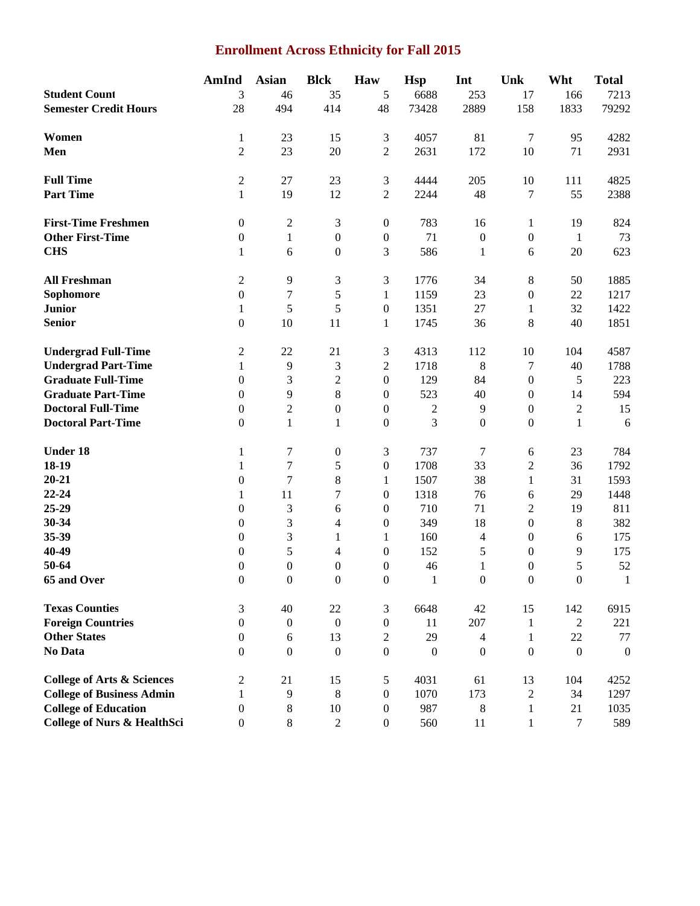## **Enrollment Across Ethnicity for Fall 2015**

|                                        | <b>AmInd</b>          | <b>Asian</b>     | <b>Blck</b>      | Haw                              | <b>Hsp</b>   | Int              | Unk                          | Wht              | <b>Total</b>     |
|----------------------------------------|-----------------------|------------------|------------------|----------------------------------|--------------|------------------|------------------------------|------------------|------------------|
| <b>Student Count</b>                   | 3                     | 46               | 35               | 5                                | 6688         | 253              | 17                           | 166              | 7213             |
| <b>Semester Credit Hours</b>           | 28                    | 494              | 414              | 48                               | 73428        | 2889             | 158                          | 1833             | 79292            |
| Women                                  |                       |                  |                  |                                  |              |                  |                              |                  |                  |
|                                        | 1                     | 23               | 15               | 3                                | 4057         | 81               | $\tau$                       | 95               | 4282             |
| Men                                    | $\overline{2}$        | 23               | 20               | $\overline{2}$                   | 2631         | 172              | 10                           | 71               | 2931             |
| <b>Full Time</b>                       | $\overline{c}$        | 27               | 23               | $\mathfrak{Z}$                   | 4444         | 205              | 10                           | 111              | 4825             |
| <b>Part Time</b>                       | $\mathbf{1}$          | 19               | 12               | $\sqrt{2}$                       | 2244         | 48               | 7                            | 55               | 2388             |
| <b>First-Time Freshmen</b>             | $\boldsymbol{0}$      | $\sqrt{2}$       | 3                | $\boldsymbol{0}$                 | 783          | 16               | $\mathbf{1}$                 | 19               | 824              |
| <b>Other First-Time</b>                | $\boldsymbol{0}$      | $\mathbf{1}$     | $\boldsymbol{0}$ | $\boldsymbol{0}$                 | 71           | $\boldsymbol{0}$ | $\boldsymbol{0}$             | $\mathbf{1}$     | 73               |
| <b>CHS</b>                             | 1                     | 6                | $\boldsymbol{0}$ | 3                                | 586          | $\mathbf{1}$     | 6                            | 20               | 623              |
|                                        |                       |                  |                  |                                  |              |                  |                              |                  |                  |
| <b>All Freshman</b>                    | $\overline{c}$        | 9                | 3                | 3                                | 1776         | 34               | $\,8\,$                      | 50               | 1885             |
| Sophomore                              | $\boldsymbol{0}$      | 7                | 5                | 1                                | 1159         | 23               | $\boldsymbol{0}$             | 22               | 1217             |
| <b>Junior</b>                          | 1                     | 5                | 5                | $\boldsymbol{0}$                 | 1351         | 27               | $\mathbf{1}$                 | 32               | 1422             |
| <b>Senior</b>                          | $\boldsymbol{0}$      | 10               | 11               | $\mathbf{1}$                     | 1745         | 36               | $\,8\,$                      | 40               | 1851             |
| <b>Undergrad Full-Time</b>             | 2                     | 22               | 21               | $\mathfrak{Z}$                   | 4313         | 112              | 10                           | 104              | 4587             |
| <b>Undergrad Part-Time</b>             | $\mathbf{1}$          | 9                | 3                | $\mathfrak 2$                    | 1718         | $\,8\,$          | $\tau$                       | 40               | 1788             |
| <b>Graduate Full-Time</b>              | $\boldsymbol{0}$      | 3                | $\overline{c}$   | $\boldsymbol{0}$                 | 129          | 84               | $\boldsymbol{0}$             | 5                | 223              |
| <b>Graduate Part-Time</b>              | $\boldsymbol{0}$      | $\overline{9}$   | 8                | $\boldsymbol{0}$                 | 523          | 40               | $\boldsymbol{0}$             | 14               | 594              |
| <b>Doctoral Full-Time</b>              | $\boldsymbol{0}$      | $\sqrt{2}$       | $\boldsymbol{0}$ | $\boldsymbol{0}$                 | $\sqrt{2}$   | $\overline{9}$   | $\boldsymbol{0}$             | $\boldsymbol{2}$ | 15               |
| <b>Doctoral Part-Time</b>              | $\boldsymbol{0}$      | $\mathbf{1}$     | $\mathbf{1}$     | $\boldsymbol{0}$                 | 3            | $\boldsymbol{0}$ | $\boldsymbol{0}$             | $\mathbf{1}$     | 6                |
| <b>Under 18</b>                        | 1                     | $\tau$           | $\boldsymbol{0}$ | 3                                | 737          | 7                | 6                            | 23               | 784              |
| 18-19                                  | 1                     | $\boldsymbol{7}$ | 5                | $\boldsymbol{0}$                 | 1708         | 33               | $\sqrt{2}$                   | 36               | 1792             |
| $20 - 21$                              | $\boldsymbol{0}$      | $\boldsymbol{7}$ | 8                | 1                                | 1507         | 38               | $\mathbf{1}$                 | 31               | 1593             |
| $22 - 24$                              | 1                     | 11               | 7                | $\overline{0}$                   | 1318         | 76               | 6                            | 29               | 1448             |
| 25-29                                  | $\boldsymbol{0}$      | 3                | 6                | $\boldsymbol{0}$                 | 710          | 71               | $\boldsymbol{2}$             | 19               | 811              |
| 30-34                                  | $\boldsymbol{0}$      | 3                | 4                | $\boldsymbol{0}$                 | 349          | 18               | $\boldsymbol{0}$             | $\,8$            | 382              |
| 35-39                                  | $\boldsymbol{0}$      | 3                | $\mathbf{1}$     | $\mathbf{1}$                     | 160          | $\overline{4}$   | $\boldsymbol{0}$             | 6                | 175              |
| 40-49                                  | $\boldsymbol{0}$      | 5                | 4                | $\boldsymbol{0}$                 | 152          | 5                | $\boldsymbol{0}$             | 9                | 175              |
| 50-64                                  | $\boldsymbol{0}$      | $\boldsymbol{0}$ | $\boldsymbol{0}$ | $\boldsymbol{0}$                 | 46           | $\mathbf{1}$     | $\boldsymbol{0}$             | 5                | 52               |
| 65 and Over                            | $\boldsymbol{0}$      | $\boldsymbol{0}$ | $\mathbf{0}$     | $\mathbf{0}$                     | $\mathbf{1}$ | $\boldsymbol{0}$ | $\mathbf{0}$                 | $\mathbf{0}$     | $\mathbf{1}$     |
| <b>Texas Counties</b>                  | 3                     | 40               | 22               | 3                                | 6648         | 42               | 15                           | 142              | 6915             |
| <b>Foreign Countries</b>               | $\boldsymbol{0}$      | $\boldsymbol{0}$ | $\mathbf{0}$     | $\boldsymbol{0}$                 | 11           | 207              | $\mathbf{1}$                 | $\overline{2}$   | 221              |
| <b>Other States</b>                    | $\mathbf{0}$          | 6                | 13               | $\overline{2}$                   | 29           | $\overline{4}$   | $\mathbf{1}$                 | 22               | 77               |
| No Data                                | $\mathbf{0}$          | $\boldsymbol{0}$ | $\mathbf{0}$     | $\mathbf{0}$                     | $\mathbf{0}$ | $\boldsymbol{0}$ | $\mathbf{0}$                 | $\mathbf{0}$     | $\boldsymbol{0}$ |
| <b>College of Arts &amp; Sciences</b>  | 2                     | 21               | 15               | 5                                | 4031         | 61               | 13                           | 104              | 4252             |
| <b>College of Business Admin</b>       |                       | $\overline{9}$   | $\,8\,$          |                                  | 1070         | 173              |                              | 34               |                  |
| <b>College of Education</b>            | 1<br>$\boldsymbol{0}$ | $\,8\,$          | 10               | $\boldsymbol{0}$<br>$\mathbf{0}$ | 987          | $\,8\,$          | $\sqrt{2}$                   | 21               | 1297<br>1035     |
| <b>College of Nurs &amp; HealthSci</b> | $\boldsymbol{0}$      | $\,8\,$          | $\overline{2}$   | $\boldsymbol{0}$                 | 560          | 11               | $\mathbf{1}$<br>$\mathbf{1}$ | $\tau$           | 589              |
|                                        |                       |                  |                  |                                  |              |                  |                              |                  |                  |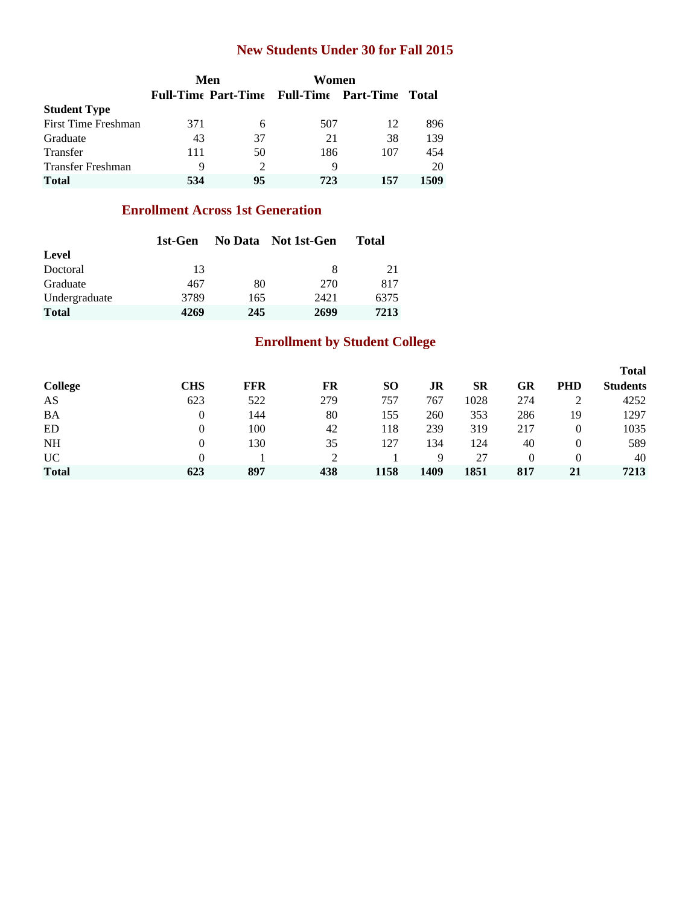### **New Students Under 30 for Fall 2015**

|                          |     | Men                         | Women                                          |     |       |
|--------------------------|-----|-----------------------------|------------------------------------------------|-----|-------|
|                          |     |                             | <b>Full-Time Part-Time Full-Time Part-Time</b> |     | Total |
| <b>Student Type</b>      |     |                             |                                                |     |       |
| First Time Freshman      | 371 | 6                           | 507                                            | 12  | 896   |
| Graduate                 | 43  | 37                          | 21                                             | 38  | 139   |
| Transfer                 | 111 | 50                          | 186                                            | 107 | 454   |
| <b>Transfer Freshman</b> | 9   | $\mathcal{D}_{\mathcal{L}}$ | 9                                              |     | 20    |
| <b>Total</b>             | 534 | 95                          | 723                                            | 157 | 1509  |

### **Enrollment Across 1st Generation**

|               | 1st-Gen |     | No Data Not 1st-Gen | Total |  |  |
|---------------|---------|-----|---------------------|-------|--|--|
| Level         |         |     |                     |       |  |  |
| Doctoral      | 13      |     | 8                   | 21    |  |  |
| Graduate      | 467     | 80  | 270                 | 817   |  |  |
| Undergraduate | 3789    | 165 | 2421                | 6375  |  |  |
| <b>Total</b>  | 4269    | 245 | 2699                | 7213  |  |  |

## **Enrollment by Student College**

|              |     |            |     |           |      |           |          |            | <b>Total</b>    |
|--------------|-----|------------|-----|-----------|------|-----------|----------|------------|-----------------|
| College      | CHS | <b>FFR</b> | FR  | <b>SO</b> | JR   | <b>SR</b> | GR       | <b>PHD</b> | <b>Students</b> |
| AS           | 623 | 522        | 279 | 757       | 767  | 1028      | 274      |            | 4252            |
| <b>BA</b>    | 0   | 144        | 80  | 155       | 260  | 353       | 286      | 19         | 1297            |
| ED           | 0   | 100        | 42  | 118       | 239  | 319       | 217      | 0          | 1035            |
| <b>NH</b>    | 0   | 130        | 35  | 127       | 134  | 124       | 40       | 0          | 589             |
| <b>UC</b>    |     |            |     |           | Q    | 27        | $\Omega$ | $\Omega$   | 40              |
| <b>Total</b> | 623 | 897        | 438 | 1158      | 1409 | 1851      | 817      | 21         | 7213            |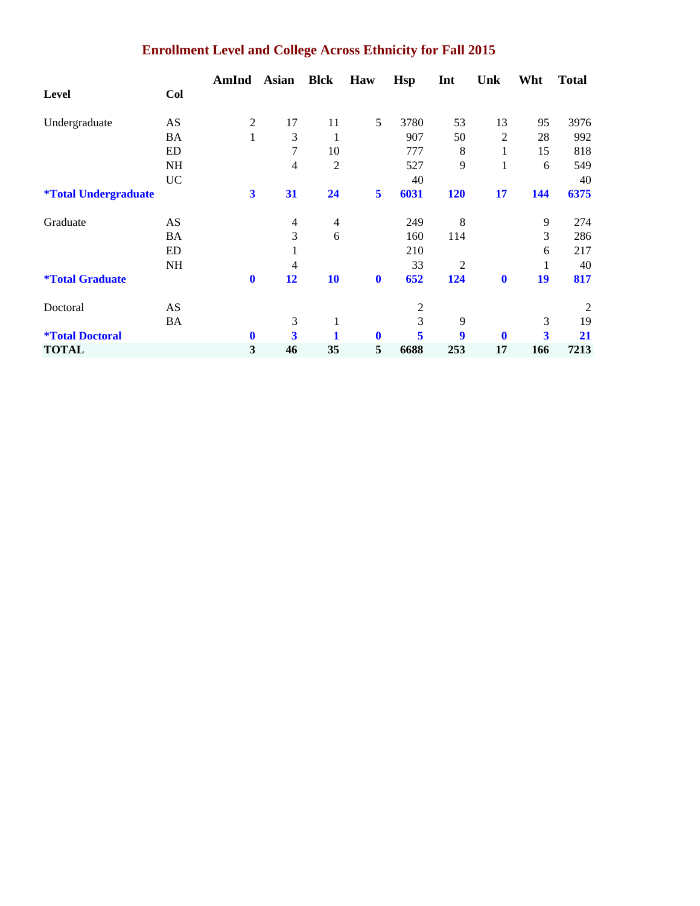# **Enrollment Level and College Across Ethnicity for Fall 2015**

|                                    |           | AmInd                   | <b>Asian</b> | <b>Blck</b>    | Haw         | <b>Hsp</b> | Int            | Unk      | Wht                     | <b>Total</b> |
|------------------------------------|-----------|-------------------------|--------------|----------------|-------------|------------|----------------|----------|-------------------------|--------------|
| Level                              | Col       |                         |              |                |             |            |                |          |                         |              |
| Undergraduate                      | AS        | $\mathfrak{2}$          | 17           | 11             | 5           | 3780       | 53             | 13       | 95                      | 3976         |
|                                    | BA        | 1                       | 3            | 1              |             | 907        | 50             | 2        | 28                      | 992          |
|                                    | ED        |                         | 7            | 10             |             | 777        | 8              | 1        | 15                      | 818          |
|                                    | <b>NH</b> |                         | 4            | $\overline{2}$ |             | 527        | 9              | 1        | 6                       | 549          |
|                                    | <b>UC</b> |                         |              |                |             | 40         |                |          |                         | 40           |
| <i><b>*Total Undergraduate</b></i> |           | $\overline{\mathbf{3}}$ | 31           | 24             | 5           | 6031       | 120            | 17       | 144                     | 6375         |
| Graduate                           | AS        |                         | 4            | $\overline{4}$ |             | 249        | 8              |          | 9                       | 274          |
|                                    | BA        |                         | 3            | 6              |             | 160        | 114            |          | 3                       | 286          |
|                                    | ED        |                         |              |                |             | 210        |                |          | 6                       | 217          |
|                                    | NH        |                         | 4            |                |             | 33         | $\overline{2}$ |          | 1                       | 40           |
| <i><b>*Total Graduate</b></i>      |           | $\bf{0}$                | 12           | 10             | $\mathbf 0$ | 652        | 124            | $\bf{0}$ | 19                      | 817          |
| Doctoral                           | AS        |                         |              |                |             | 2          |                |          |                         | 2            |
|                                    | BA        |                         | 3            | 1              |             | 3          | 9              |          | 3                       | 19           |
| <i><b>*Total Doctoral</b></i>      |           | $\bf{0}$                | 3            |                | $\bf{0}$    | 5          | 9              | $\bf{0}$ | $\overline{\mathbf{3}}$ | 21           |
| <b>TOTAL</b>                       |           | 3                       | 46           | 35             | 5           | 6688       | 253            | 17       | 166                     | 7213         |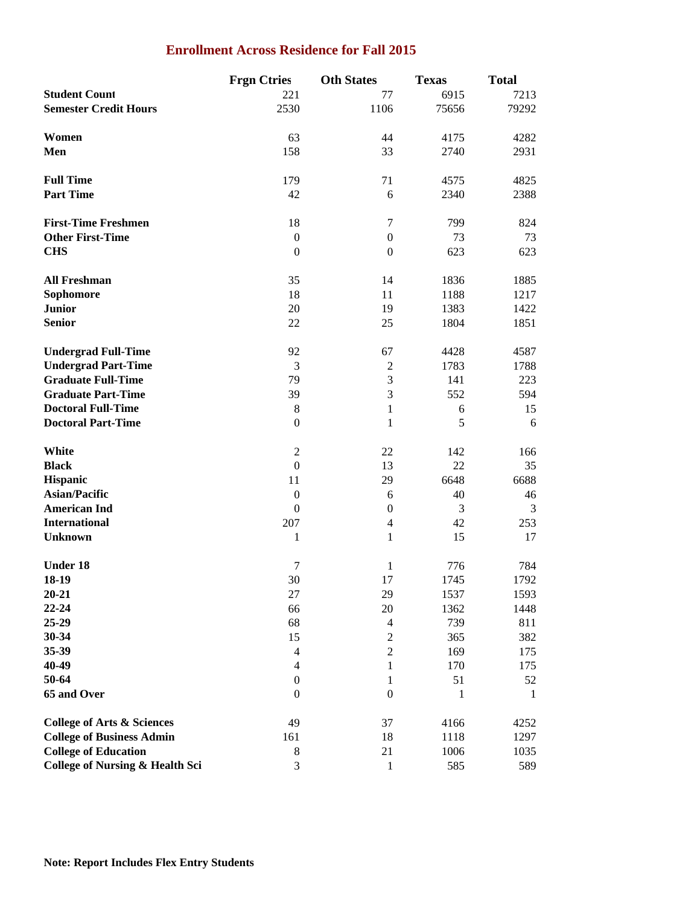#### **Enrollment Across Residence for Fall 2015**

|                                            | <b>Frgn Ctries</b> | <b>Oth States</b> | <b>Texas</b> | <b>Total</b> |
|--------------------------------------------|--------------------|-------------------|--------------|--------------|
| <b>Student Count</b>                       | 221                | 77                | 6915         | 7213         |
| <b>Semester Credit Hours</b>               | 2530               | 1106              | 75656        | 79292        |
|                                            |                    |                   |              |              |
| Women                                      | 63                 | 44                | 4175         | 4282         |
| Men                                        | 158                | 33                | 2740         | 2931         |
|                                            |                    |                   |              |              |
| <b>Full Time</b>                           | 179                | 71                | 4575         | 4825         |
| <b>Part Time</b>                           | 42                 | 6                 | 2340         | 2388         |
|                                            |                    |                   |              |              |
| <b>First-Time Freshmen</b>                 | 18                 | $\tau$            | 799          | 824          |
| <b>Other First-Time</b>                    | $\boldsymbol{0}$   | $\boldsymbol{0}$  | 73           | 73           |
| <b>CHS</b>                                 | $\boldsymbol{0}$   | $\boldsymbol{0}$  | 623          | 623          |
|                                            |                    |                   |              |              |
| <b>All Freshman</b>                        | 35                 | 14                | 1836         | 1885         |
| Sophomore                                  | 18                 | 11                | 1188         | 1217         |
| <b>Junior</b>                              | 20                 | 19                | 1383         | 1422         |
|                                            |                    |                   |              | 1851         |
| <b>Senior</b>                              | 22                 | 25                | 1804         |              |
|                                            |                    |                   |              |              |
| <b>Undergrad Full-Time</b>                 | 92                 | 67                | 4428         | 4587         |
| <b>Undergrad Part-Time</b>                 | 3                  | $\overline{2}$    | 1783         | 1788         |
| <b>Graduate Full-Time</b>                  | 79                 | 3                 | 141          | 223          |
| <b>Graduate Part-Time</b>                  | 39                 | 3                 | 552          | 594          |
| <b>Doctoral Full-Time</b>                  | $\,8\,$            | $\mathbf{1}$      | 6            | 15           |
| <b>Doctoral Part-Time</b>                  | $\boldsymbol{0}$   | $\mathbf{1}$      | 5            | 6            |
|                                            |                    |                   |              |              |
| White                                      | $\mathfrak{2}$     | 22                | 142          | 166          |
| <b>Black</b>                               | $\mathbf{0}$       | 13                | 22           | 35           |
| <b>Hispanic</b>                            | 11                 | 29                | 6648         | 6688         |
| <b>Asian/Pacific</b>                       | $\boldsymbol{0}$   | 6                 | 40           | 46           |
| <b>American Ind</b>                        | $\mathbf{0}$       | $\boldsymbol{0}$  | 3            | 3            |
| <b>International</b>                       | 207                | $\overline{4}$    | 42           | 253          |
| <b>Unknown</b>                             | 1                  | $\mathbf{1}$      | 15           | 17           |
|                                            |                    |                   |              |              |
| <b>Under 18</b>                            | $\tau$             | $\mathbf{1}$      | 776          | 784          |
| 18-19                                      | 30                 | 17                | 1745         | 1792         |
| $20 - 21$                                  | 27                 | 29                | 1537         | 1593         |
| $22 - 24$                                  | 66                 | 20                | 1362         | 1448         |
| 25-29                                      | 68                 | $\overline{4}$    | 739          | 811          |
| 30-34                                      | 15                 | $\mathbf{2}$      | 365          | 382          |
| 35-39                                      | $\overline{4}$     | $\mathbf{2}$      | 169          | 175          |
| 40-49                                      | 4                  | $\mathbf{1}$      | 170          | 175          |
| 50-64                                      | $\boldsymbol{0}$   | 1                 | 51           | 52           |
| 65 and Over                                | $\boldsymbol{0}$   | $\boldsymbol{0}$  | 1            | 1            |
|                                            |                    |                   |              |              |
| <b>College of Arts &amp; Sciences</b>      | 49                 | 37                | 4166         | 4252         |
| <b>College of Business Admin</b>           | 161                | 18                | 1118         | 1297         |
| <b>College of Education</b>                | $\,8\,$            | 21                | 1006         | 1035         |
| <b>College of Nursing &amp; Health Sci</b> | $\mathfrak{Z}$     | $\mathbf{1}$      | 585          | 589          |
|                                            |                    |                   |              |              |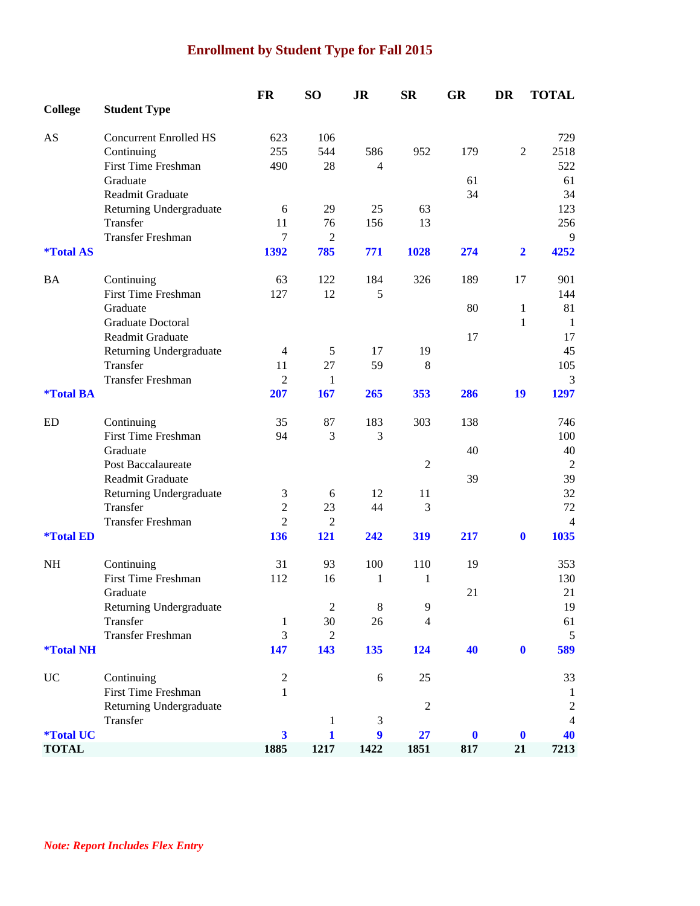## **Enrollment by Student Type for Fall 2015**

|                         |                                        | <b>FR</b>               | SO <sub>1</sub>       | <b>JR</b>        | <b>SR</b>      | <b>GR</b>        | DR               | <b>TOTAL</b>   |
|-------------------------|----------------------------------------|-------------------------|-----------------------|------------------|----------------|------------------|------------------|----------------|
| <b>College</b>          | <b>Student Type</b>                    |                         |                       |                  |                |                  |                  |                |
| AS                      | <b>Concurrent Enrolled HS</b>          | 623                     | 106                   |                  |                |                  |                  | 729            |
|                         | Continuing                             | 255                     | 544                   | 586              | 952            | 179              | $\overline{2}$   | 2518           |
|                         | <b>First Time Freshman</b>             | 490                     | 28                    | $\overline{4}$   |                |                  |                  | 522            |
|                         | Graduate                               |                         |                       |                  |                | 61               |                  | 61             |
|                         | Readmit Graduate                       |                         |                       |                  |                | 34               |                  | 34             |
|                         | Returning Undergraduate                | 6                       | 29                    | 25               | 63             |                  |                  | 123            |
|                         | Transfer                               | 11                      | 76                    | 156              | 13             |                  |                  | 256            |
|                         | <b>Transfer Freshman</b>               | 7                       | $\overline{2}$        |                  |                |                  |                  | 9              |
| <i><b>*Total AS</b></i> |                                        | 1392                    | 785                   | 771              | 1028           | 274              | $\overline{2}$   | 4252           |
| BA                      | Continuing                             | 63                      | 122                   | 184              | 326            | 189              | 17               | 901            |
|                         | <b>First Time Freshman</b>             | 127                     | 12                    | 5                |                |                  |                  | 144            |
|                         | Graduate                               |                         |                       |                  |                | 80               | 1                | 81             |
|                         | <b>Graduate Doctoral</b>               |                         |                       |                  |                |                  | 1                | -1             |
|                         | Readmit Graduate                       |                         |                       |                  |                | 17               |                  | 17             |
|                         | Returning Undergraduate                | $\overline{4}$          | 5                     | 17               | 19             |                  |                  | 45             |
|                         | Transfer                               | 11                      | 27                    | 59               | 8              |                  |                  | 105            |
|                         | <b>Transfer Freshman</b>               | $\overline{2}$          | $\mathbf{1}$          |                  |                |                  |                  | 3              |
| <i><b>*Total BA</b></i> |                                        | 207                     | 167                   | 265              | 353            | 286              | 19               | 1297           |
| ED                      | Continuing                             | 35                      | 87                    | 183              | 303            | 138              |                  | 746            |
|                         | <b>First Time Freshman</b>             | 94                      | 3                     | 3                |                |                  |                  | 100            |
|                         | Graduate                               |                         |                       |                  |                | 40               |                  | 40             |
|                         | <b>Post Baccalaureate</b>              |                         |                       |                  | $\overline{2}$ |                  |                  | $\overline{2}$ |
|                         | Readmit Graduate                       |                         |                       |                  |                | 39               |                  | 39             |
|                         | Returning Undergraduate                | 3                       | 6                     | 12               | 11             |                  |                  | 32             |
|                         | Transfer                               | $\overline{2}$          | 23                    | 44               | 3              |                  |                  | 72             |
| <i><b>*Total ED</b></i> | <b>Transfer Freshman</b>               | $\overline{c}$<br>136   | $\overline{2}$<br>121 | 242              | 319            | 217              | $\bf{0}$         | 4<br>1035      |
|                         |                                        |                         |                       |                  |                |                  |                  |                |
| NH                      | Continuing                             | 31                      | 93                    | 100              | 110            | 19               |                  | 353            |
|                         | <b>First Time Freshman</b><br>Graduate | 112                     | 16                    | $\mathbf{1}$     | 1              | 21               |                  | 130<br>21      |
|                         | Returning Undergraduate                |                         | $\sqrt{2}$            | $\,8\,$          | $\overline{9}$ |                  |                  | 19             |
|                         | Transfer                               | 1                       | 30                    | 26               | 4              |                  |                  | 61             |
|                         | <b>Transfer Freshman</b>               | 3                       | $\sqrt{2}$            |                  |                |                  |                  | 5              |
| <i><b>*Total NH</b></i> |                                        | 147                     | 143                   | 135              | 124            | 40               | $\mathbf{0}$     | 589            |
| <b>UC</b>               | Continuing                             | $\overline{c}$          |                       | $\sqrt{6}$       | 25             |                  |                  | 33             |
|                         | First Time Freshman                    | $\mathbf{1}$            |                       |                  |                |                  |                  | 1              |
|                         | Returning Undergraduate                |                         |                       |                  | $\overline{2}$ |                  |                  | $\overline{2}$ |
|                         | Transfer                               |                         | $\mathbf{1}$          | 3                |                |                  |                  | $\overline{4}$ |
| <i><b>*Total UC</b></i> |                                        | $\overline{\mathbf{3}}$ | $\mathbf{1}$          | $\boldsymbol{9}$ | 27             | $\boldsymbol{0}$ | $\boldsymbol{0}$ | 40             |
| <b>TOTAL</b>            |                                        | 1885                    | 1217                  | 1422             | 1851           | 817              | 21               | 7213           |